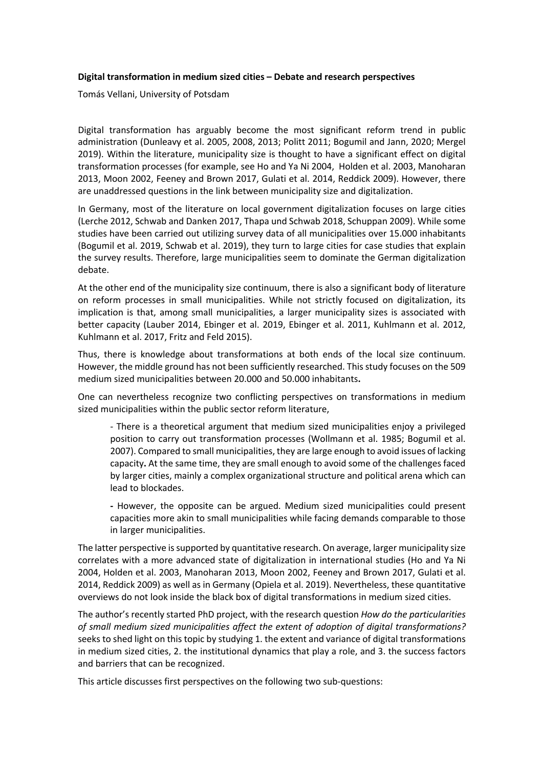## **Digital transformation in medium sized cities – Debate and research perspectives**

Tomás Vellani, University of Potsdam

Digital transformation has arguably become the most significant reform trend in public administration (Dunleavy et al. 2005, 2008, 2013; Politt 2011; Bogumil and Jann, 2020; Mergel 2019). Within the literature, municipality size is thought to have a significant effect on digital transformation processes (for example, see Ho and Ya Ni 2004, Holden et al. 2003, Manoharan 2013, Moon 2002, Feeney and Brown 2017, Gulati et al. 2014, Reddick 2009). However, there are unaddressed questions in the link between municipality size and digitalization.

In Germany, most of the literature on local government digitalization focuses on large cities (Lerche 2012, Schwab and Danken 2017, Thapa und Schwab 2018, Schuppan 2009). While some studies have been carried out utilizing survey data of all municipalities over 15.000 inhabitants (Bogumil et al. 2019, Schwab et al. 2019), they turn to large cities for case studies that explain the survey results. Therefore, large municipalities seem to dominate the German digitalization debate.

At the other end of the municipality size continuum, there is also a significant body of literature on reform processes in small municipalities. While not strictly focused on digitalization, its implication is that, among small municipalities, a larger municipality sizes is associated with better capacity (Lauber 2014, Ebinger et al. 2019, Ebinger et al. 2011, Kuhlmann et al. 2012, Kuhlmann et al. 2017, Fritz and Feld 2015).

Thus, there is knowledge about transformations at both ends of the local size continuum. However, the middle ground has not been sufficiently researched. This study focuses on the 509 medium sized municipalities between 20.000 and 50.000 inhabitants**.**

One can nevertheless recognize two conflicting perspectives on transformations in medium sized municipalities within the public sector reform literature,

- There is a theoretical argument that medium sized municipalities enjoy a privileged position to carry out transformation processes (Wollmann et al. 1985; Bogumil et al. 2007). Compared to small municipalities, they are large enough to avoid issues of lacking capacity**.** At the same time, they are small enough to avoid some of the challenges faced by larger cities, mainly a complex organizational structure and political arena which can lead to blockades.

**-** However, the opposite can be argued. Medium sized municipalities could present capacities more akin to small municipalities while facing demands comparable to those in larger municipalities.

The latter perspective is supported by quantitative research. On average, larger municipality size correlates with a more advanced state of digitalization in international studies (Ho and Ya Ni 2004, Holden et al. 2003, Manoharan 2013, Moon 2002, Feeney and Brown 2017, Gulati et al. 2014, Reddick 2009) as well as in Germany (Opiela et al. 2019). Nevertheless, these quantitative overviews do not look inside the black box of digital transformations in medium sized cities.

The author's recently started PhD project, with the research question *How do the particularities of small medium sized municipalities affect the extent of adoption of digital transformations?*  seeks to shed light on this topic by studying 1. the extent and variance of digital transformations in medium sized cities, 2. the institutional dynamics that play a role, and 3. the success factors and barriers that can be recognized.

This article discusses first perspectives on the following two sub-questions: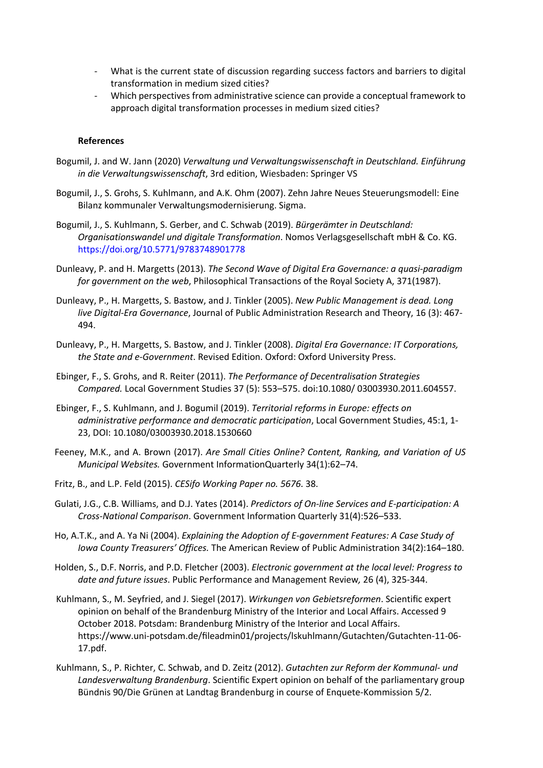- What is the current state of discussion regarding success factors and barriers to digital transformation in medium sized cities?
- Which perspectives from administrative science can provide a conceptual framework to approach digital transformation processes in medium sized cities?

## **References**

- Bogumil, J. and W. Jann (2020) *Verwaltung und Verwaltungswissenschaft in Deutschland. Einführung in die Verwaltungswissenschaft*, 3rd edition, Wiesbaden: Springer VS
- Bogumil, J., S. Grohs, S. Kuhlmann, and A.K. Ohm (2007). Zehn Jahre Neues Steuerungsmodell: Eine Bilanz kommunaler Verwaltungsmodernisierung. Sigma.
- Bogumil, J., S. Kuhlmann, S. Gerber, and C. Schwab (2019). *Bürgerämter in Deutschland: Organisationswandel und digitale Transformation*. Nomos Verlagsgesellschaft mbH & Co. KG. https://doi.org/10.5771/9783748901778
- Dunleavy, P. and H. Margetts (2013). *The Second Wave of Digital Era Governance: a quasi-paradigm for government on the web*, Philosophical Transactions of the Royal Society A, 371(1987).
- Dunleavy, P., H. Margetts, S. Bastow, and J. Tinkler (2005). *New Public Management is dead. Long live Digital-Era Governance*, Journal of Public Administration Research and Theory, 16 (3): 467- 494.
- Dunleavy, P., H. Margetts, S. Bastow, and J. Tinkler (2008). *Digital Era Governance: IT Corporations, the State and e-Government*. Revised Edition. Oxford: Oxford University Press.
- Ebinger, F., S. Grohs, and R. Reiter (2011). *The Performance of Decentralisation Strategies Compared.* Local Government Studies 37 (5): 553–575. doi:10.1080/ 03003930.2011.604557.
- Ebinger, F., S. Kuhlmann, and J. Bogumil (2019). *Territorial reforms in Europe: effects on administrative performance and democratic participation*, Local Government Studies, 45:1, 1- 23, DOI: 10.1080/03003930.2018.1530660
- Feeney, M.K., and A. Brown (2017). *Are Small Cities Online? Content, Ranking, and Variation of US Municipal Websites.* Government InformationQuarterly 34(1):62–74.
- Fritz, B., and L.P. Feld (2015). *CESifo Working Paper no. 5676*. 38.
- Gulati, J.G., C.B. Williams, and D.J. Yates (2014). *Predictors of On-line Services and E-participation: A Cross-National Comparison*. Government Information Quarterly 31(4):526–533.
- Ho, A.T.K., and A. Ya Ni (2004). *Explaining the Adoption of E-government Features: A Case Study of Iowa County Treasurers' Offices.* The American Review of Public Administration 34(2):164–180.
- Holden, S., D.F. Norris, and P.D. Fletcher (2003). *Electronic government at the local level: Progress to date and future issues*. Public Performance and Management Review*,* 26 (4), 325-344.
- Kuhlmann, S., M. Seyfried, and J. Siegel (2017). *Wirkungen von Gebietsreformen*. Scientific expert opinion on behalf of the Brandenburg Ministry of the Interior and Local Affairs. Accessed 9 October 2018. Potsdam: Brandenburg Ministry of the Interior and Local Affairs. https://www.uni-potsdam.de/fileadmin01/projects/lskuhlmann/Gutachten/Gutachten-11-06- 17.pdf.
- Kuhlmann, S., P. Richter, C. Schwab, and D. Zeitz (2012). *Gutachten zur Reform der Kommunal- und Landesverwaltung Brandenburg*. Scientific Expert opinion on behalf of the parliamentary group Bündnis 90/Die Grünen at Landtag Brandenburg in course of Enquete-Kommission 5/2.